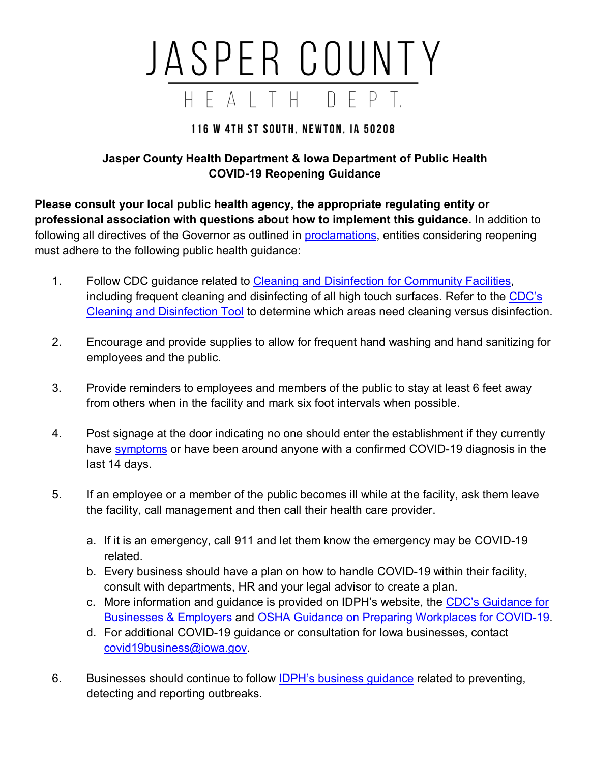## JASPER COUNTY HEALTH DEPT.

## **116 W 4TH ST SOUTH. NEWTON. IA 50208**

## **Jasper County Health Department & Iowa Department of Public Health COVID-19 Reopening Guidance**

**Please consult your local public health agency, the appropriate regulating entity or professional association with questions about how to implement this guidance.** In addition to following all directives of the Governor as outlined in [proclamations,](https://coronavirus.iowa.gov/pages/proclamations) entities considering reopening must adhere to the following public health guidance:

- 1. Follow CDC guidance related to [Cleaning and Disinfection for Community Facilities,](https://www.cdc.gov/coronavirus/2019-ncov/community/organizations/cleaning-disinfection.html) including frequent cleaning and disinfecting of all high touch surfaces. Refer to the [CDC's](https://www.cdc.gov/coronavirus/2019-ncov/community/pdf/ReOpening_America_Cleaning_Disinfection_Decision_Tool.pdf)  [Cleaning and Disinfection Tool](https://www.cdc.gov/coronavirus/2019-ncov/community/pdf/ReOpening_America_Cleaning_Disinfection_Decision_Tool.pdf) to determine which areas need cleaning versus disinfection.
- 2. Encourage and provide supplies to allow for frequent hand washing and hand sanitizing for employees and the public.
- 3. Provide reminders to employees and members of the public to stay at least 6 feet away from others when in the facility and mark six foot intervals when possible.
- 4. Post signage at the door indicating no one should enter the establishment if they currently have [symptoms](https://www.cdc.gov/coronavirus/2019-ncov/symptoms-testing/symptoms.html) or have been around anyone with a confirmed COVID-19 diagnosis in the last 14 days.
- 5. If an employee or a member of the public becomes ill while at the facility, ask them leave the facility, call management and then call their health care provider.
	- a. If it is an emergency, call 911 and let them know the emergency may be COVID-19 related.
	- b. Every business should have a plan on how to handle COVID-19 within their facility, consult with departments, HR and your legal advisor to create a plan.
	- c. More information and guidance is provided on IDPH's website, the [CDC's Guidance for](https://www.cdc.gov/coronavirus/2019-ncov/community/guidance-business-response.html)  [Businesses & Employers](https://www.cdc.gov/coronavirus/2019-ncov/community/guidance-business-response.html) and [OSHA Guidance on Preparing Workplaces for COVID-19.](https://www.osha.gov/Publications/OSHA3990.pdf)
	- d. For additional COVID-19 guidance or consultation for Iowa businesses, contact [covid19business@iowa.gov.](mailto:covid19business@iowa.gov)
- 6. Businesses should continue to follow [IDPH's business guidance](https://idph.iowa.gov/Portals/1/userfiles/61/covid19/Guidance%20for%20businesses%20COVID%20Outbreak%204_24_20%28AC%29.pdf) related to preventing, detecting and reporting outbreaks.